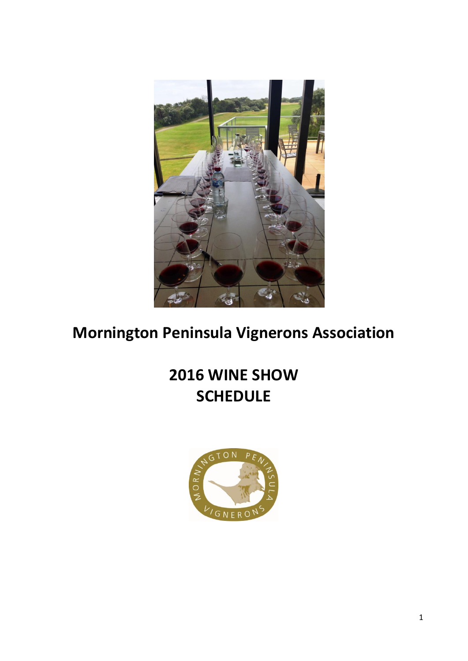

# **Mornington Peninsula Vignerons Association**

# **2016 WINE SHOW SCHEDULE**

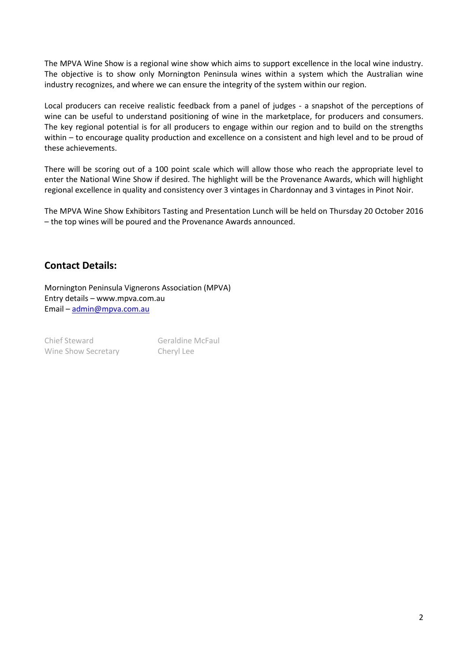The MPVA Wine Show is a regional wine show which aims to support excellence in the local wine industry. The objective is to show only Mornington Peninsula wines within a system which the Australian wine industry recognizes, and where we can ensure the integrity of the system within our region.

Local producers can receive realistic feedback from a panel of judges - a snapshot of the perceptions of wine can be useful to understand positioning of wine in the marketplace, for producers and consumers. The key regional potential is for all producers to engage within our region and to build on the strengths within – to encourage quality production and excellence on a consistent and high level and to be proud of these achievements.

There will be scoring out of a 100 point scale which will allow those who reach the appropriate level to enter the National Wine Show if desired. The highlight will be the Provenance Awards, which will highlight regional excellence in quality and consistency over 3 vintages in Chardonnay and 3 vintages in Pinot Noir.

The MPVA Wine Show Exhibitors Tasting and Presentation Lunch will be held on Thursday 20 October 2016 – the top wines will be poured and the Provenance Awards announced.

#### **Contact Details:**

Mornington Peninsula Vignerons Association (MPVA) Entry details – www.mpva.com.au Email – [admin@mpva.com.au](mailto:admin@mpva.com.au)

Chief Steward Geraldine McFaul Wine Show Secretary Cheryl Lee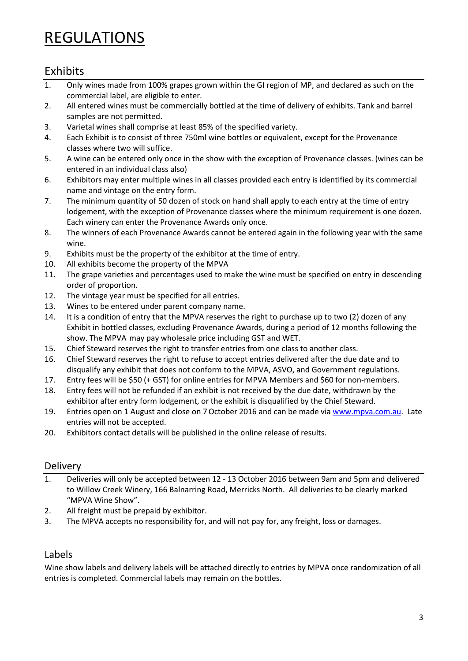## REGULATIONS

### Exhibits

- 1. Only wines made from 100% grapes grown within the GI region of MP, and declared as such on the commercial label, are eligible to enter.
- 2. All entered wines must be commercially bottled at the time of delivery of exhibits. Tank and barrel samples are not permitted.
- 3. Varietal wines shall comprise at least 85% of the specified variety.
- 4. Each Exhibit is to consist of three 750ml wine bottles or equivalent, except for the Provenance classes where two will suffice.
- 5. A wine can be entered only once in the show with the exception of Provenance classes. (wines can be entered in an individual class also)
- 6. Exhibitors may enter multiple wines in all classes provided each entry is identified by its commercial name and vintage on the entry form.
- 7. The minimum quantity of 50 dozen of stock on hand shall apply to each entry at the time of entry lodgement, with the exception of Provenance classes where the minimum requirement is one dozen. Each winery can enter the Provenance Awards only once.
- 8. The winners of each Provenance Awards cannot be entered again in the following year with the same wine.
- 9. Exhibits must be the property of the exhibitor at the time of entry.
- 10. All exhibits become the property of the MPVA
- 11. The grape varieties and percentages used to make the wine must be specified on entry in descending order of proportion.
- 12. The vintage year must be specified for all entries.
- 13. Wines to be entered under parent company name.
- 14. It is a condition of entry that the MPVA reserves the right to purchase up to two (2) dozen of any Exhibit in bottled classes, excluding Provenance Awards, during a period of 12 months following the show. The MPVA may pay wholesale price including GST and WET.
- 15. Chief Steward reserves the right to transfer entries from one class to another class.
- 16. Chief Steward reserves the right to refuse to accept entries delivered after the due date and to disqualify any exhibit that does not conform to the MPVA, ASVO, and Government regulations.
- 17. Entry fees will be \$50 (+ GST) for online entries for MPVA Members and \$60 for non-members.
- 18. Entry fees will not be refunded if an exhibit is not received by the due date, withdrawn by the exhibitor after entry form lodgement, or the exhibit is disqualified by the Chief Steward.
- 19. Entries open on 1 August and close on 7October 2016 and can be made vi[a www.mpva.com.au.](http://www.mpva.com.au/) Late entries will not be accepted.
- 20. Exhibitors contact details will be published in the online release of results.

#### Delivery

- 1. Deliveries will only be accepted between 12 13 October 2016 between 9am and 5pm and delivered to Willow Creek Winery, 166 Balnarring Road, Merricks North. All deliveries to be clearly marked "MPVA Wine Show".
- 2. All freight must be prepaid by exhibitor.
- 3. The MPVA accepts no responsibility for, and will not pay for, any freight, loss or damages.

#### Labels

Wine show labels and delivery labels will be attached directly to entries by MPVA once randomization of all entries is completed. Commercial labels may remain on the bottles.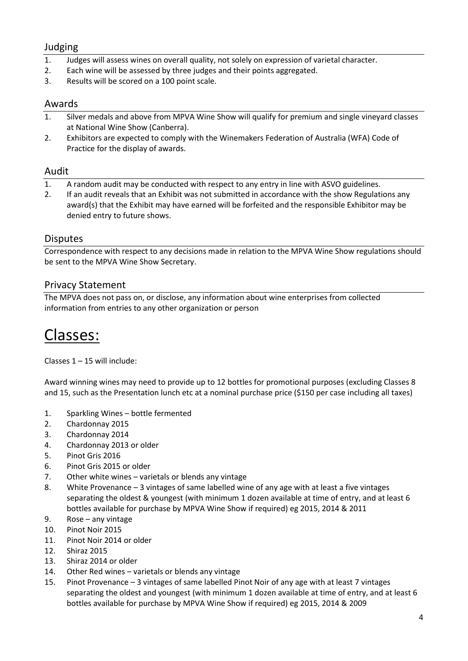#### Judging

- 1. Judges will assess wines on overall quality, not solely on expression of varietal character.
- 2. Each wine will be assessed by three judges and their points aggregated.
- 3. Results will be scored on a 100 point scale.

#### Awards

- 1. Silver medals and above from MPVA Wine Show will qualify for premium and single vineyard classes at National Wine Show (Canberra).
- 2. Exhibitors are expected to comply with the Winemakers Federation of Australia (WFA) Code of Practice for the display of awards.

#### Audit

- 1. A random audit may be conducted with respect to any entry in line with ASVO guidelines.
- 2. If an audit reveals that an Exhibit was not submitted in accordance with the show Regulations any award(s) that the Exhibit may have earned will be forfeited and the responsible Exhibitor may be denied entry to future shows.

#### **Disputes**

Correspondence with respect to any decisions made in relation to the MPVA Wine Show regulations should be sent to the MPVA Wine Show Secretary.

#### Privacy Statement

The MPVA does not pass on, or disclose, any information about wine enterprises from collected information from entries to any other organization or person

### Classes:

Classes 1 – 15 will include:

Award winning wines may need to provide up to 12 bottles for promotional purposes (excluding Classes 8 and 15, such as the Presentation lunch etc at a nominal purchase price (\$150 per case including all taxes)

- 1. Sparkling Wines bottle fermented
- 2. Chardonnay 2015
- 3. Chardonnay 2014
- 4. Chardonnay 2013 or older
- 5. Pinot Gris 2016
- 6. Pinot Gris 2015 or older
- 7. Other white wines varietals or blends any vintage
- 8. White Provenance 3 vintages of same labelled wine of any age with at least a five vintages separating the oldest & youngest (with minimum 1 dozen available at time of entry, and at least 6 bottles available for purchase by MPVA Wine Show if required) eg 2015, 2014 & 2011
- 9. Rose any vintage
- 10. Pinot Noir 2015
- 11. Pinot Noir 2014 or older
- 12. Shiraz 2015
- 13. Shiraz 2014 or older
- 14. Other Red wines varietals or blends any vintage
- 15. Pinot Provenance 3 vintages of same labelled Pinot Noir of any age with at least 7 vintages separating the oldest and youngest (with minimum 1 dozen available at time of entry, and at least 6 bottles available for purchase by MPVA Wine Show if required) eg 2015, 2014 & 2009